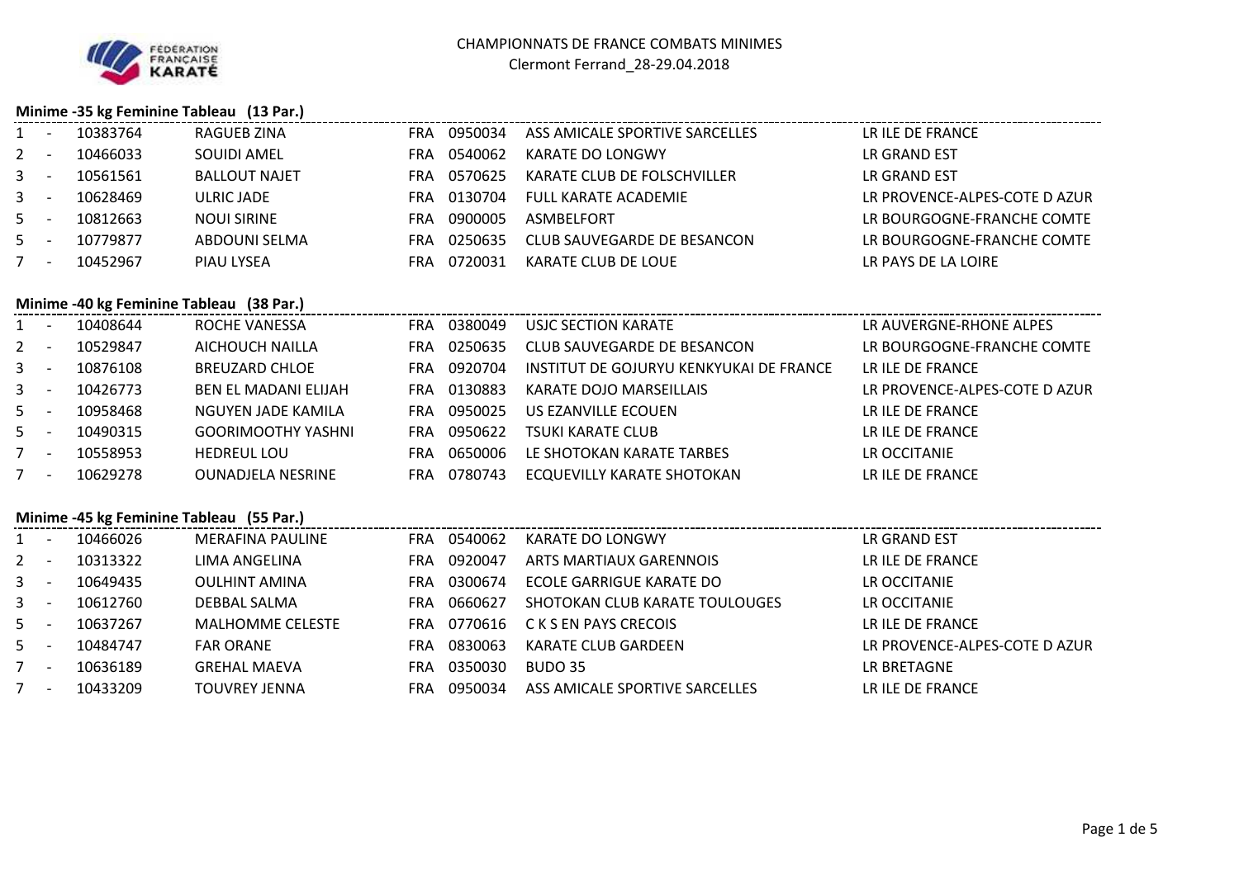# **Minime -35 kg Feminine Tableau (13 Par.)**

|              |                          | 10383764 | RAGUEB ZINA          | FRA | 0950034 | ASS AMICALE SPORTIVE SARCELLES | LR ILE DE FRANCE              |
|--------------|--------------------------|----------|----------------------|-----|---------|--------------------------------|-------------------------------|
| 2            |                          | 10466033 | SOUIDI AMEL          | FRA | 0540062 | KARATE DO LONGWY               | LR GRAND EST                  |
| $\mathbf{3}$ |                          | 10561561 | <b>BALLOUT NAJET</b> | FRA | 0570625 | KARATE CLUB DE FOLSCHVILLER    | LR GRAND EST                  |
| $\mathbf{3}$ |                          | 10628469 | ULRIC JADE           | FRA | 0130704 | FULL KARATE ACADEMIE           | LR PROVENCE-ALPES-COTE D AZUR |
| 5            |                          | 10812663 | <b>NOUI SIRINE</b>   | FRA | 0900005 | ASMBELFORT                     | LR BOURGOGNE-FRANCHE COMTE    |
| 5            |                          | 10779877 | ABDOUNI SELMA        | FRA | 0250635 | CLUB SAUVEGARDE DE BESANCON    | LR BOURGOGNE-FRANCHE COMTE    |
|              | $\overline{\phantom{a}}$ | 10452967 | PIAU LYSEA           | FRA | 0720031 | KARATE CLUB DE LOUE            | LR PAYS DE LA LOIRE           |

### **Minime -40 kg Feminine Tableau (38 Par.)**

| $1 -$        |                          | 10408644 | ROCHE VANESSA               | FRA | 0380049 | USJC SECTION KARATE                     | LR AUVERGNE-RHONE ALPES       |
|--------------|--------------------------|----------|-----------------------------|-----|---------|-----------------------------------------|-------------------------------|
| $2 -$        |                          | 10529847 | AICHOUCH NAILLA             | FRA | 0250635 | CLUB SAUVEGARDE DE BESANCON             | LR BOURGOGNE-FRANCHE COMTE    |
| $\mathbf{3}$ | $\overline{\phantom{a}}$ | 10876108 | <b>BREUZARD CHLOE</b>       | FRA | 0920704 | INSTITUT DE GOJURYU KENKYUKAI DE FRANCE | LR ILE DE FRANCE              |
| $3 -$        |                          | 10426773 | <b>BEN EL MADANI ELIJAH</b> | FRA | 0130883 | KARATE DOJO MARSEILLAIS                 | LR PROVENCE-ALPES-COTE D AZUR |
| $5 -$        |                          | 10958468 | NGUYEN JADE KAMILA          | FRA | 0950025 | US EZANVILLE ECOUEN                     | LR ILE DE FRANCE              |
| $5 -$        |                          | 10490315 | <b>GOORIMOOTHY YASHNI</b>   | FRA | 0950622 | <b>TSUKI KARATE CLUB</b>                | LR ILE DE FRANCE              |
| $7 -$        |                          | 10558953 | <b>HEDREUL LOU</b>          | FRA | 0650006 | LE SHOTOKAN KARATE TARBES               | LR OCCITANIE                  |
| $7 -$        |                          | 10629278 | <b>OUNADJELA NESRINE</b>    | FRA | 0780743 | ECQUEVILLY KARATE SHOTOKAN              | LR ILE DE FRANCE              |

# **Minime -45 kg Feminine Tableau (55 Par.)**

| $1 -$ |                          | 10466026 | MERAFINA PAULINE        | <b>FRA</b> | 0540062 | KARATE DO LONGWY               | LR GRAND EST                  |
|-------|--------------------------|----------|-------------------------|------------|---------|--------------------------------|-------------------------------|
| $2 -$ |                          | 10313322 | LIMA ANGELINA           | FRA        | 0920047 | ARTS MARTIAUX GARENNOIS        | LR ILE DE FRANCE              |
| $3 -$ |                          | 10649435 | <b>OULHINT AMINA</b>    | <b>FRA</b> | 0300674 | ECOLE GARRIGUE KARATE DO       | LR OCCITANIE                  |
| $3 -$ |                          | 10612760 | DEBBAL SALMA            | <b>FRA</b> | 0660627 | SHOTOKAN CLUB KARATE TOULOUGES | LR OCCITANIE                  |
| $5 -$ |                          | 10637267 | <b>MALHOMME CELESTE</b> | <b>FRA</b> | 0770616 | C K S EN PAYS CRECOIS          | LR ILE DE FRANCE              |
| $5 -$ |                          | 10484747 | <b>FAR ORANE</b>        | FRA        | 0830063 | KARATE CLUB GARDEEN            | LR PROVENCE-ALPES-COTE D AZUR |
|       | $\overline{\phantom{a}}$ | 10636189 | <b>GREHAL MAEVA</b>     | FRA        | 0350030 | BUDO 35                        | LR BRETAGNE                   |
|       | $\overline{\phantom{a}}$ | 10433209 | TOUVREY JENNA           | FRA        | 0950034 | ASS AMICALE SPORTIVE SARCELLES | LR ILE DE FRANCE              |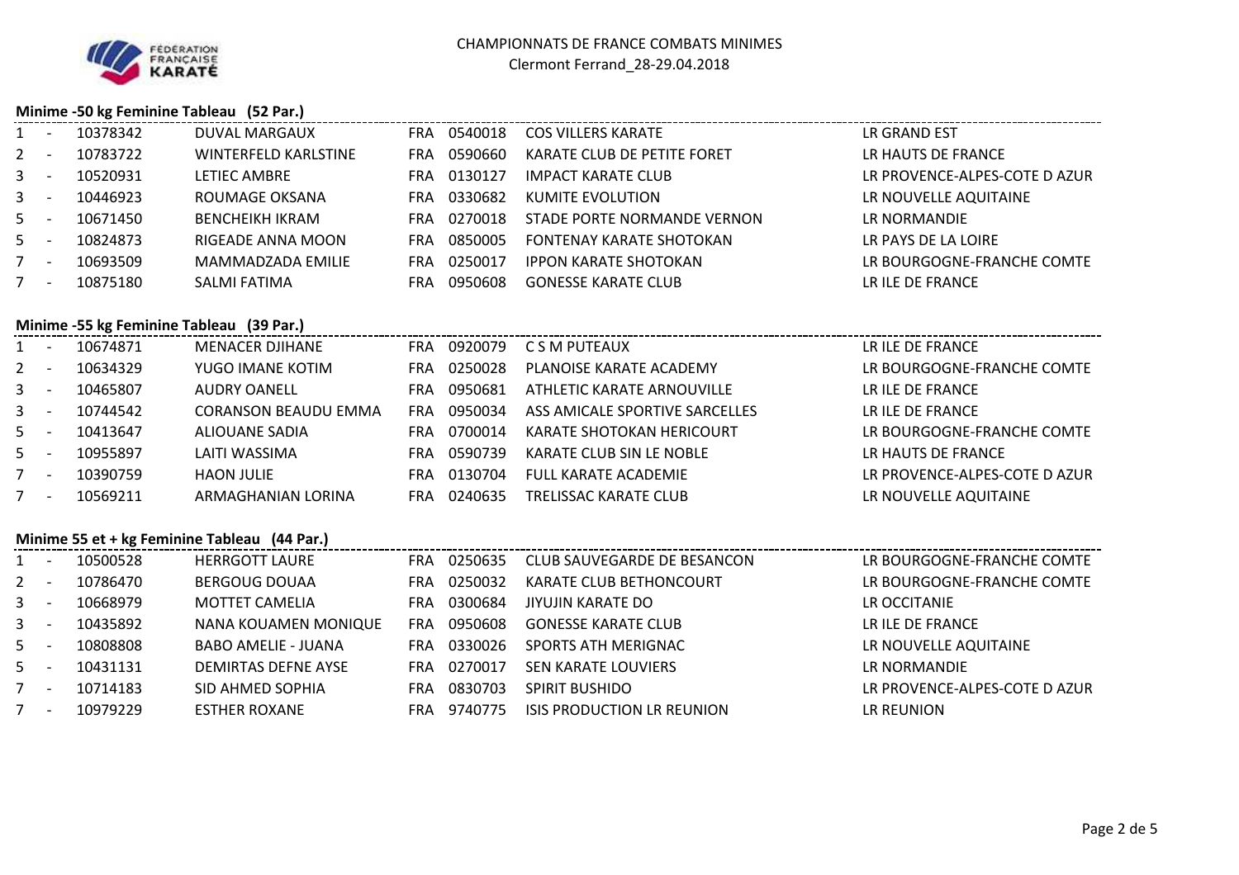

# **Minime -50 kg Feminine Tableau (52 Par.)**

|              |                          | 10378342 | DUVAL MARGAUX               | <b>FRA</b> | 0540018 | <b>COS VILLERS KARATE</b>    | LR GRAND EST                  |
|--------------|--------------------------|----------|-----------------------------|------------|---------|------------------------------|-------------------------------|
| $2^{\circ}$  | - -                      | 10783722 | <b>WINTERFELD KARLSTINE</b> | <b>FRA</b> | 0590660 | KARATE CLUB DE PETITE FORET  | LR HAUTS DE FRANCE            |
| $\mathbf{3}$ |                          | 10520931 | LETIEC AMBRE                | FRA        | 0130127 | <b>IMPACT KARATE CLUB</b>    | LR PROVENCE-ALPES-COTE D AZUR |
| $\mathbf{3}$ |                          | 10446923 | ROUMAGE OKSANA              | FRA        | 0330682 | KUMITE EVOLUTION             | LR NOUVELLE AQUITAINE         |
| $5 -$        |                          | 10671450 | <b>BENCHEIKH IKRAM</b>      | <b>FRA</b> | 0270018 | STADE PORTE NORMANDE VERNON  | LR NORMANDIE                  |
| $5 -$        |                          | 10824873 | RIGEADE ANNA MOON           | <b>FRA</b> | 0850005 | FONTENAY KARATE SHOTOKAN     | LR PAYS DE LA LOIRE           |
|              | $\overline{\phantom{a}}$ | 10693509 | MAMMADZADA EMILIE           | <b>FRA</b> | 0250017 | <b>IPPON KARATE SHOTOKAN</b> | LR BOURGOGNE-FRANCHE COMTE    |
|              | . .                      | 10875180 | SALMI FATIMA                | FRA        | 0950608 | <b>GONESSE KARATE CLUB</b>   | LR ILE DE FRANCE              |
|              |                          |          |                             |            |         |                              |                               |

# **Minime -55 kg Feminine Tableau (39 Par.)**

| $1 -$   |                          | 10674871 | <b>MENACER DJIHANE</b>      | FRA.       | 0920079 | C S M PUTEAUX                  | LR ILE DE FRANCE              |
|---------|--------------------------|----------|-----------------------------|------------|---------|--------------------------------|-------------------------------|
| $2 -$   |                          | 10634329 | YUGO IMANE KOTIM            | <b>FRA</b> | 0250028 | PLANOISE KARATE ACADEMY        | LR BOURGOGNE-FRANCHE COMTE    |
| $3 - 1$ |                          | 10465807 | <b>AUDRY OANELL</b>         | <b>FRA</b> | 0950681 | ATHLETIC KARATE ARNOUVILLE     | LR ILE DE FRANCE              |
| $3 - 5$ |                          | 10744542 | <b>CORANSON BEAUDU EMMA</b> | <b>FRA</b> | 0950034 | ASS AMICALE SPORTIVE SARCELLES | LR ILE DE FRANCE              |
| $5 -$   |                          | 10413647 | ALIOUANE SADIA              | <b>FRA</b> | 0700014 | KARATE SHOTOKAN HERICOURT      | LR BOURGOGNE-FRANCHE COMTE    |
| $5 -$   |                          | 10955897 | LAITI WASSIMA               | <b>FRA</b> | 0590739 | KARATE CLUB SIN LE NOBLE       | LR HAUTS DE FRANCE            |
| 7       | $\overline{\phantom{0}}$ | 10390759 | <b>HAON JULIE</b>           | <b>FRA</b> | 0130704 | FULL KARATE ACADEMIE           | LR PROVENCE-ALPES-COTE D AZUR |
|         | $\overline{\phantom{0}}$ | 10569211 | ARMAGHANIAN LORINA          | FRA        | 0240635 | <b>TRELISSAC KARATE CLUB</b>   | LR NOUVELLE AQUITAINE         |

# **Minime 55 et + kg Feminine Tableau (44 Par.)**

| $1 -$   |                          | 10500528 | <b>HERRGOTT LAURE</b>      | FRA        | 0250635 | CLUB SAUVEGARDE DE BESANCON       | LR BOURGOGNE-FRANCHE COMTE    |
|---------|--------------------------|----------|----------------------------|------------|---------|-----------------------------------|-------------------------------|
| $2 -$   |                          | 10786470 | <b>BERGOUG DOUAA</b>       | <b>FRA</b> | 0250032 | KARATE CLUB BETHONCOURT           | LR BOURGOGNE-FRANCHE COMTE    |
| $3 - 5$ |                          | 10668979 | <b>MOTTET CAMELIA</b>      | <b>FRA</b> | 0300684 | JIYUJIN KARATE DO                 | LR OCCITANIE                  |
| $3 -$   |                          | 10435892 | NANA KOUAMEN MONIQUE       | FRA        | 0950608 | <b>GONESSE KARATE CLUB</b>        | LR ILE DE FRANCE              |
| $5 -$   |                          | 10808808 | <b>BABO AMELIE - JUANA</b> | <b>FRA</b> | 0330026 | SPORTS ATH MERIGNAC               | LR NOUVELLE AQUITAINE         |
| $5 -$   |                          | 10431131 | DEMIRTAS DEFNE AYSE        | <b>FRA</b> | 0270017 | SEN KARATE LOUVIERS               | LR NORMANDIE                  |
| $7 -$   |                          | 10714183 | SID AHMED SOPHIA           | <b>FRA</b> | 0830703 | SPIRIT BUSHIDO                    | LR PROVENCE-ALPES-COTE D AZUR |
|         | $\overline{\phantom{a}}$ | 10979229 | <b>ESTHER ROXANE</b>       | <b>FRA</b> | 9740775 | <b>ISIS PRODUCTION LR REUNION</b> | LR REUNION                    |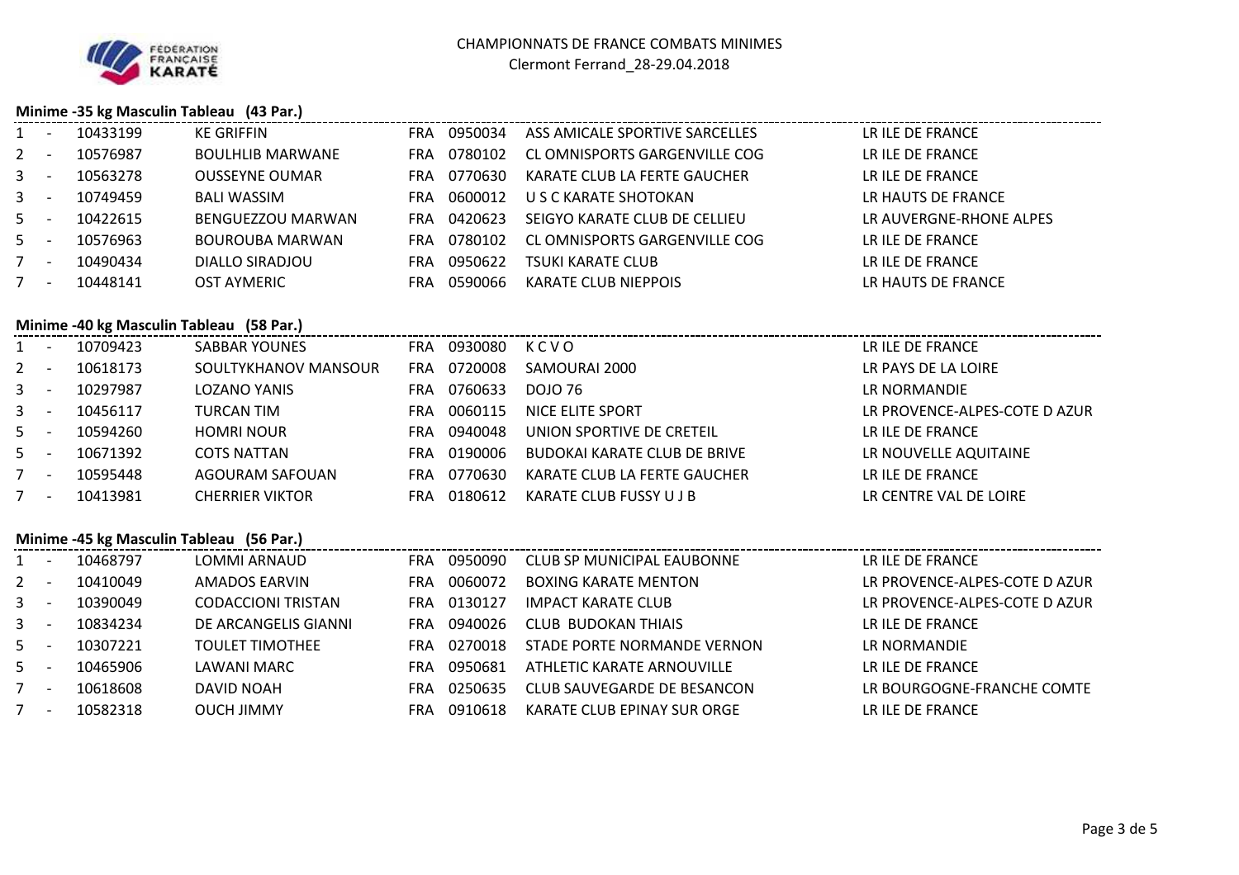

### **Minime -35 kg Masculin Tableau (43 Par.)**

|                | $\frac{1}{2}$ is interested in Fig. , the set of $\frac{1}{2}$ is the set of $\frac{1}{2}$ in $\frac{1}{2}$ is a set of $\frac{1}{2}$ |          |                         |            |         |                                |                         |  |  |  |  |
|----------------|---------------------------------------------------------------------------------------------------------------------------------------|----------|-------------------------|------------|---------|--------------------------------|-------------------------|--|--|--|--|
| $1 -$          |                                                                                                                                       | 10433199 | <b>KE GRIFFIN</b>       | <b>FRA</b> | 0950034 | ASS AMICALE SPORTIVE SARCELLES | LR ILE DE FRANCE        |  |  |  |  |
| $2 -$          |                                                                                                                                       | 10576987 | <b>BOULHLIB MARWANE</b> | <b>FRA</b> | 0780102 | CL OMNISPORTS GARGENVILLE COG  | LR ILE DE FRANCE        |  |  |  |  |
| $3^{\circ}$    | - -                                                                                                                                   | 10563278 | <b>OUSSEYNE OUMAR</b>   | <b>FRA</b> | 0770630 | KARATE CLUB LA FERTE GAUCHER   | LR ILE DE FRANCE        |  |  |  |  |
| 3 <sup>7</sup> | - -                                                                                                                                   | 10749459 | <b>BALI WASSIM</b>      | <b>FRA</b> | 0600012 | U S C KARATE SHOTOKAN          | LR HAUTS DE FRANCE      |  |  |  |  |
| $5 -$          |                                                                                                                                       | 10422615 | BENGUEZZOU MARWAN       | <b>FRA</b> | 0420623 | SEIGYO KARATE CLUB DE CELLIEU  | LR AUVERGNE-RHONE ALPES |  |  |  |  |
| $5 -$          |                                                                                                                                       | 10576963 | <b>BOUROUBA MARWAN</b>  | <b>FRA</b> | 0780102 | CL OMNISPORTS GARGENVILLE COG  | LR ILE DE FRANCE        |  |  |  |  |
| $7 -$          |                                                                                                                                       | 10490434 | DIALLO SIRADJOU         | <b>FRA</b> | 0950622 | <b>TSUKI KARATE CLUB</b>       | LR ILE DE FRANCE        |  |  |  |  |
| $7 -$          |                                                                                                                                       | 10448141 | <b>OST AYMERIC</b>      | FRA        | 0590066 | <b>KARATE CLUB NIEPPOIS</b>    | LR HAUTS DE FRANCE      |  |  |  |  |
|                |                                                                                                                                       |          |                         |            |         |                                |                         |  |  |  |  |

# **Minime -40 kg Masculin Tableau (58 Par.)**

| $1 -$   | 10709423 | SABBAR YOUNES          | <b>FRA</b> | 0930080 | KCVO                         | LR ILE DE FRANCE              |
|---------|----------|------------------------|------------|---------|------------------------------|-------------------------------|
| $2 -$   | 10618173 | SOULTYKHANOV MANSOUR   | <b>FRA</b> | 0720008 | SAMOURAI 2000                | LR PAYS DE LA LOIRE           |
| $3 - -$ | 10297987 | <b>LOZANO YANIS</b>    | FRA.       | 0760633 | DOJO 76                      | LR NORMANDIE                  |
| $3 - -$ | 10456117 | TURCAN TIM             | <b>FRA</b> | 0060115 | NICE ELITE SPORT             | LR PROVENCE-ALPES-COTE D AZUR |
| $5 -$   | 10594260 | <b>HOMRI NOUR</b>      | FRA        | 0940048 | UNION SPORTIVE DE CRETEIL    | LR ILE DE FRANCE              |
| $5 -$   | 10671392 | <b>COTS NATTAN</b>     | <b>FRA</b> | 0190006 | BUDOKAI KARATE CLUB DE BRIVE | LR NOUVELLE AQUITAINE         |
| $7 -$   | 10595448 | AGOURAM SAFOUAN        | FRA        | 0770630 | KARATE CLUB LA FERTE GAUCHER | LR ILE DE FRANCE              |
| $7 -$   | 10413981 | <b>CHERRIER VIKTOR</b> | FRA        | 0180612 | KARATE CLUB FUSSY U J B      | LR CENTRE VAL DE LOIRE        |

### **Minime -45 kg Masculin Tableau (56 Par.)**

|         | $\overline{\phantom{a}}$ | 10468797 | LOMMI ARNAUD              | <b>FRA</b> | 0950090 | CLUB SP MUNICIPAL EAUBONNE  | LR ILE DE FRANCE              |
|---------|--------------------------|----------|---------------------------|------------|---------|-----------------------------|-------------------------------|
| $2 -$   |                          | 10410049 | AMADOS EARVIN             | FRA        | 0060072 | BOXING KARATE MENTON        | LR PROVENCE-ALPES-COTE D AZUR |
| $3 - 5$ |                          | 10390049 | <b>CODACCIONI TRISTAN</b> | FRA        | 0130127 | IMPACT KARATE CLUB          | LR PROVENCE-ALPES-COTE D AZUR |
| $3 -$   |                          | 10834234 | DE ARCANGELIS GIANNI      | FRA        | 0940026 | CLUB BUDOKAN THIAIS         | LR ILE DE FRANCE              |
| $5 -$   |                          | 10307221 | <b>TOULET TIMOTHEE</b>    | FRA        | 0270018 | STADE PORTE NORMANDE VERNON | LR NORMANDIE                  |
| $5 -$   |                          | 10465906 | LAWANI MARC               | FRA        | 0950681 | ATHLETIC KARATE ARNOUVILLE  | LR ILE DE FRANCE              |
| $7 -$   |                          | 10618608 | DAVID NOAH                | FRA        | 0250635 | CLUB SAUVEGARDE DE BESANCON | LR BOURGOGNE-FRANCHE COMTE    |
|         | $\overline{\phantom{a}}$ | 10582318 | <b>OUCH JIMMY</b>         | FRA        | 0910618 | KARATE CLUB EPINAY SUR ORGE | LR ILE DE FRANCE              |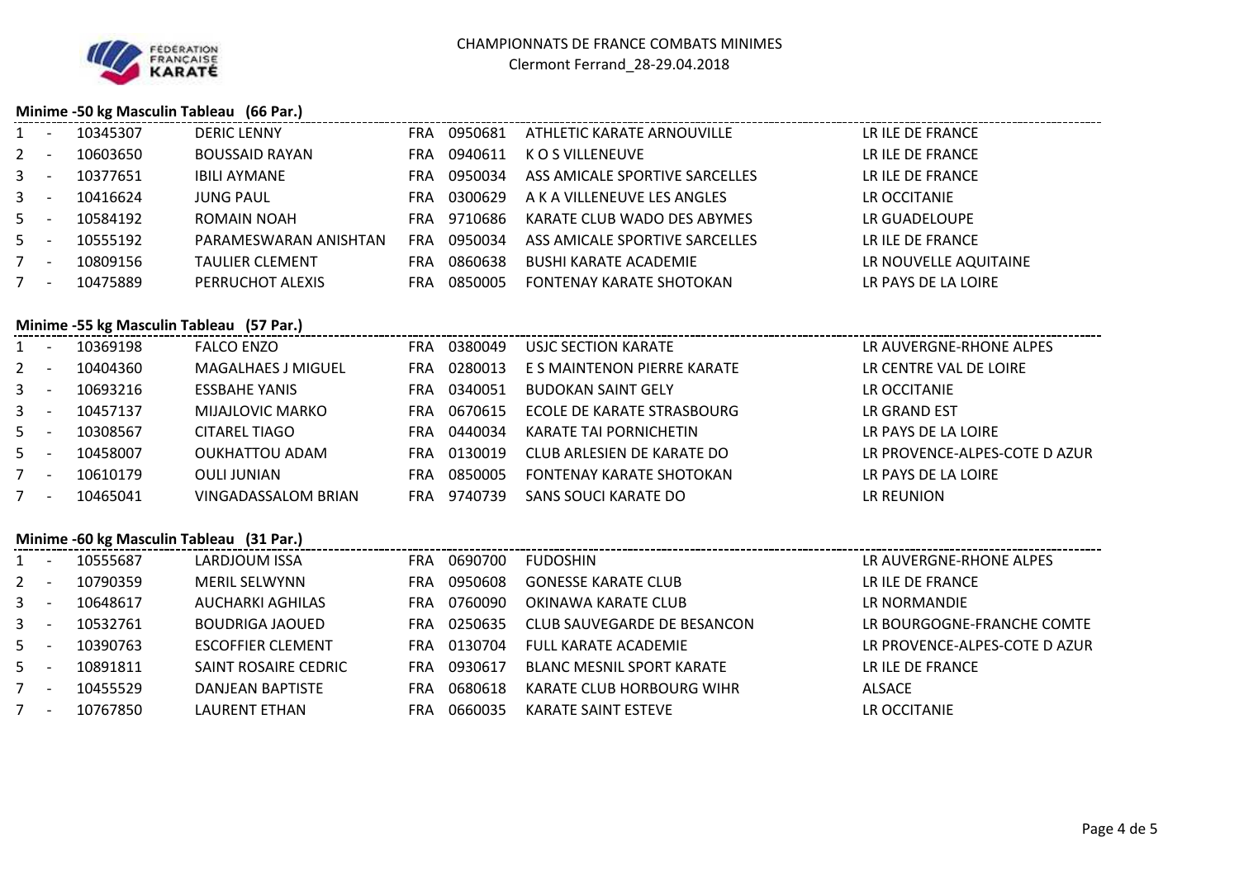# **Minime -50 kg Masculin Tableau (66 Par.)**

|                | $\overline{\phantom{a}}$ | 10345307 | <b>DERIC LENNY</b>     | <b>FRA</b> | 0950681 | ATHLETIC KARATE ARNOUVILLE      | LR ILE DE FRANCE      |
|----------------|--------------------------|----------|------------------------|------------|---------|---------------------------------|-----------------------|
| $2 -$          |                          | 10603650 | <b>BOUSSAID RAYAN</b>  | <b>FRA</b> | 0940611 | K O S VILLENEUVE                | LR ILE DE FRANCE      |
| 3 <sup>7</sup> | $\overline{\phantom{a}}$ | 10377651 | <b>IBILI AYMANE</b>    | <b>FRA</b> | 0950034 | ASS AMICALE SPORTIVE SARCELLES  | LR ILE DE FRANCE      |
| 3 <sup>1</sup> | $\overline{\phantom{a}}$ | 10416624 | <b>JUNG PAUL</b>       | <b>FRA</b> | 0300629 | A K A VILLENEUVE LES ANGLES     | LR OCCITANIE          |
| $5 -$          |                          | 10584192 | ROMAIN NOAH            | <b>FRA</b> | 9710686 | KARATE CLUB WADO DES ABYMES     | LR GUADELOUPE         |
| $5 -$          |                          | 10555192 | PARAMESWARAN ANISHTAN  | <b>FRA</b> | 0950034 | ASS AMICALE SPORTIVE SARCELLES  | LR ILE DE FRANCE      |
|                | $\overline{\phantom{a}}$ | 10809156 | <b>TAULIER CLEMENT</b> | FRA        | 0860638 | <b>BUSHI KARATE ACADEMIE</b>    | LR NOUVELLE AQUITAINE |
|                | $\overline{\phantom{a}}$ | 10475889 | PERRUCHOT ALEXIS       | FRA        | 0850005 | <b>FONTENAY KARATE SHOTOKAN</b> | LR PAYS DE LA LOIRE   |
|                |                          |          |                        |            |         |                                 |                       |

#### **Minime -55 kg Masculin Tableau (57 Par.)**

| $1 -$   |                          | 10369198 | <b>FALCO ENZO</b>         | FRA | 0380049 | USJC SECTION KARATE             | LR AUVERGNE-RHONE ALPES       |
|---------|--------------------------|----------|---------------------------|-----|---------|---------------------------------|-------------------------------|
| $2 -$   |                          | 10404360 | <b>MAGALHAES J MIGUEL</b> | FRA | 0280013 | E S MAINTENON PIERRE KARATE     | LR CENTRE VAL DE LOIRE        |
| $3 - 5$ |                          | 10693216 | <b>ESSBAHE YANIS</b>      | FRA | 0340051 | <b>BUDOKAN SAINT GELY</b>       | LR OCCITANIE                  |
| $3 - 5$ |                          | 10457137 | MIJAJLOVIC MARKO          | FRA | 0670615 | ECOLE DE KARATE STRASBOURG      | LR GRAND EST                  |
| $5 -$   |                          | 10308567 | <b>CITAREL TIAGO</b>      | FRA | 0440034 | <b>KARATE TAI PORNICHETIN</b>   | LR PAYS DE LA LOIRE           |
| $5 -$   |                          | 10458007 | <b>OUKHATTOU ADAM</b>     | FRA | 0130019 | CLUB ARLESIEN DE KARATE DO      | LR PROVENCE-ALPES-COTE D AZUR |
|         | $\overline{\phantom{0}}$ | 10610179 | <b>OULI JUNIAN</b>        | FRA | 0850005 | <b>FONTENAY KARATE SHOTOKAN</b> | LR PAYS DE LA LOIRE           |
|         | $\overline{\phantom{0}}$ | 10465041 | VINGADASSALOM BRIAN       | FRA | 9740739 | SANS SOUCL KARATE DO            | LR REUNION                    |

### **Minime -60 kg Masculin Tableau (31 Par.)**

| $1 -$       |        | 10555687 | LARDJOUM ISSA            | <b>FRA</b> | 0690700 | <b>FUDOSHIN</b>                  | LR AUVERGNE-RHONE ALPES       |
|-------------|--------|----------|--------------------------|------------|---------|----------------------------------|-------------------------------|
| $2 -$       |        | 10790359 | <b>MERIL SELWYNN</b>     | <b>FRA</b> | 0950608 | <b>GONESSE KARATE CLUB</b>       | LR ILE DE FRANCE              |
| $3^{\circ}$ | $\sim$ | 10648617 | AUCHARKI AGHILAS         | <b>FRA</b> | 0760090 | OKINAWA KARATE CLUB              | LR NORMANDIE                  |
| $3 -$       |        | 10532761 | BOUDRIGA JAOUED          | <b>FRA</b> | 0250635 | CLUB SAUVEGARDE DE BESANCON      | LR BOURGOGNE-FRANCHE COMTE    |
| $5 -$       |        | 10390763 | <b>ESCOFFIER CLEMENT</b> | <b>FRA</b> | 0130704 | FULL KARATE ACADEMIE             | LR PROVENCE-ALPES-COTE D AZUR |
| $5 -$       |        | 10891811 | SAINT ROSAIRE CEDRIC     | <b>FRA</b> | 0930617 | <b>BLANC MESNIL SPORT KARATE</b> | LR ILE DE FRANCE              |
| $7 -$       |        | 10455529 | DANJEAN BAPTISTE         | <b>FRA</b> | 0680618 | KARATE CLUB HORBOURG WIHR        | ALSACE                        |
| $7 -$       |        | 10767850 | LAURENT ETHAN            | FRA        | 0660035 | KARATE SAINT ESTEVE              | LR OCCITANIE                  |